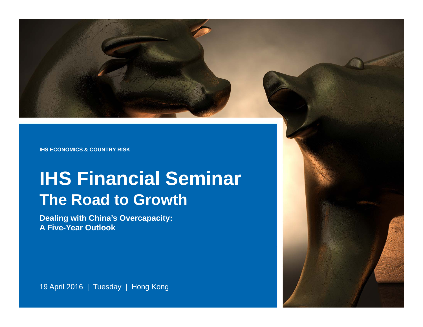**IHS ECONOMICS & COUNTRY RISK**

### **IHS Financial Seminar The Road to Growth**

**Dealing with China's Overcapacity: A Five-Year Outlook**

19 April 2016 | Tuesday | Hong Kong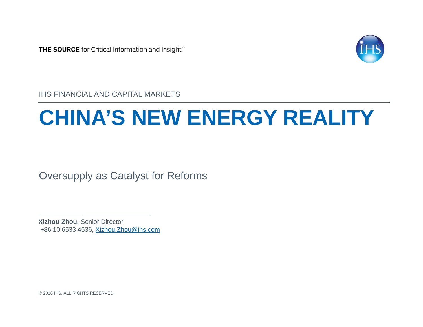THE SOURCE for Critical Information and Insight<sup>"</sup>



IHS FINANCIAL AND CAPITAL MARKETS

## **CHINA'S NEW ENERGY REALITY**

Oversupply as Catalyst for Reforms

**Xizhou Zhou,** Senior Director +86 10 6533 4536, Xizhou.Zhou@ihs.com

© 2016 IHS. ALL RIGHTS RESERVED.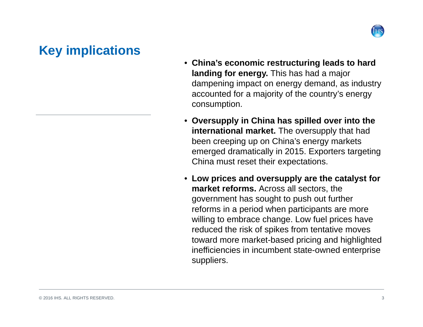

#### **Key implications**

- **China's economic restructuring leads to hard landing for energy.** This has had a major dampening impact on energy demand, as industry accounted for a majority of the country's energy consumption.
- **Oversupply in China has spilled over into the international market.** The oversupply that had been creeping up on China's energy markets emerged dramatically in 2015. Exporters targeting China must reset their expectations.
- **Low prices and oversupply are the catalyst for market reforms.** Across all sectors, the government has sought to push out further reforms in a period when participants are more willing to embrace change. Low fuel prices have reduced the risk of spikes from tentative moves toward more market-based pricing and highlighted inefficiencies in incumbent state-owned enterprise suppliers.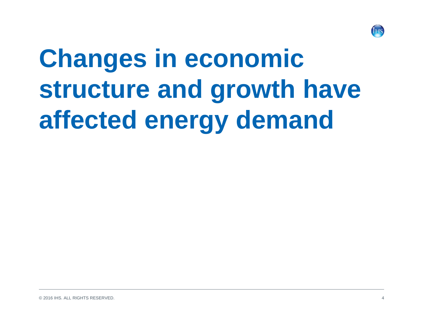

# **Changes in economic structure and growth have affected energy demand**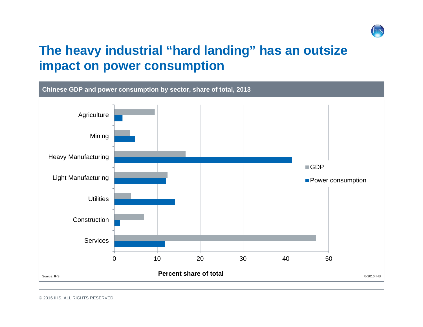

#### **The heavy industrial "hard landing" has an outsize impact on power consumption**

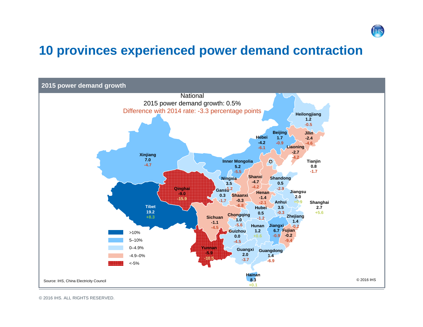

#### **10 provinces experienced power demand contraction**



© 2016 IHS. ALL RIGHTS RESERVED.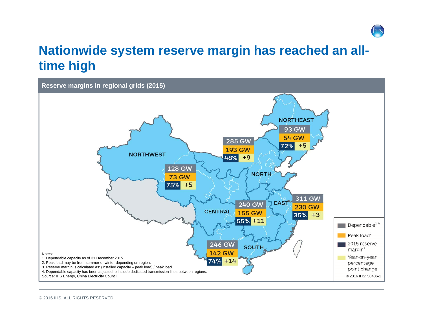

#### **Nationwide system reserve margin has reached an alltime high**

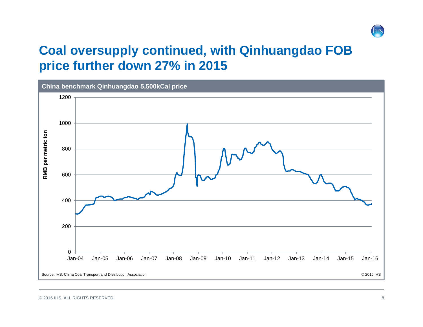

#### **Coal oversupply continued, with Qinhuangdao FOB price further down 27% in 2015**

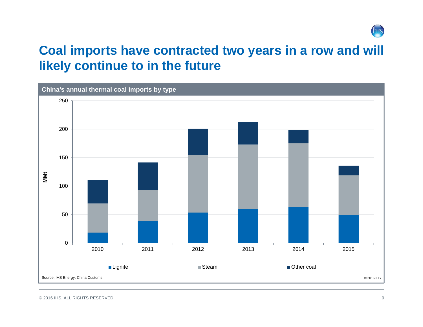

#### **Coal imports have contracted two years in a row and will likely continue to in the future**

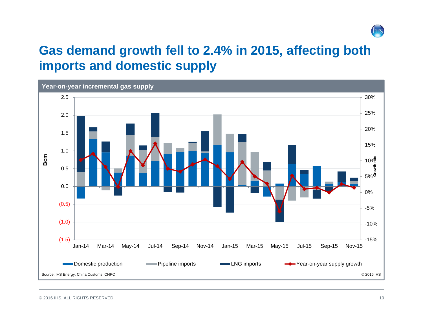

#### **Gas demand growth fell to 2.4% in 2015, affecting both imports and domestic supply**

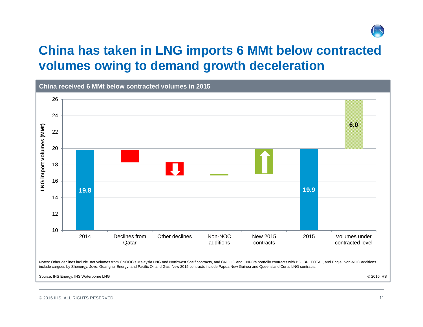

#### **China has taken in LNG imports 6 MMt below contracted volumes owing to demand growth deceleration**

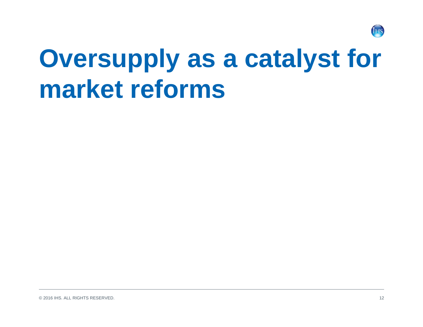

## **Oversupply as a catalyst for market reforms**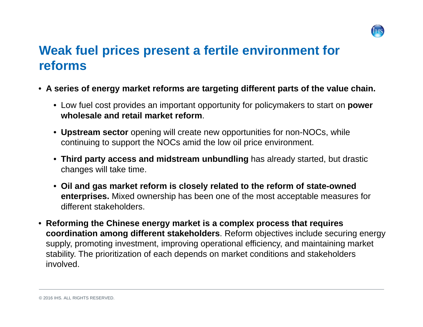

### **Weak fuel prices present a fertile environment for reforms**

- **A series of energy market reforms are targeting different parts of the value chain.** 
	- Low fuel cost provides an important opportunity for policymakers to start on **power wholesale and retail market reform**.
	- **Upstream sector** opening will create new opportunities for non-NOCs, while continuing to support the NOCs amid the low oil price environment.
	- **Third party access and midstream unbundling** has already started, but drastic changes will take time.
	- **Oil and gas market reform is closely related to the reform of state-owned enterprises.** Mixed ownership has been one of the most acceptable measures for different stakeholders.
- **Reforming the Chinese energy market is a complex process that requires coordination among different stakeholders**. Reform objectives include securing energy supply, promoting investment, improving operational efficiency, and maintaining market stability. The prioritization of each depends on market conditions and stakeholders involved.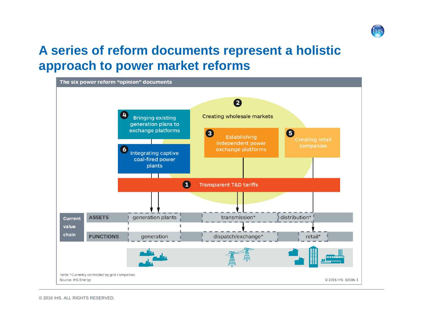

#### **A series of reform documents represent a holistic approach to power market reforms**

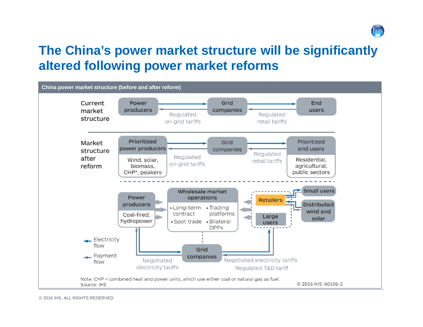

#### **The China's power market structure will be significantly altered following power market reforms**

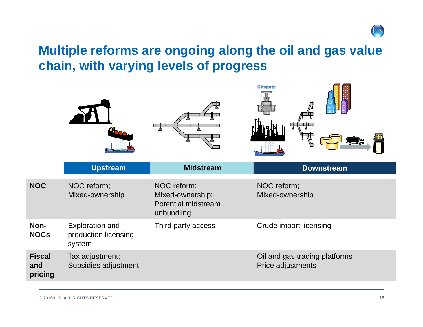

#### **Multiple reforms are ongoing along the oil and gas value chain, with varying levels of progress**

|                                 |                                                          |                                                                             | Citygate                                           |
|---------------------------------|----------------------------------------------------------|-----------------------------------------------------------------------------|----------------------------------------------------|
|                                 | <b>Upstream</b>                                          | <b>Midstream</b>                                                            | <b>Downstream</b>                                  |
| <b>NOC</b>                      | NOC reform;<br>Mixed-ownership                           | NOC reform;<br>Mixed-ownership;<br><b>Potential midstream</b><br>unbundling | NOC reform;<br>Mixed-ownership                     |
| Non-<br><b>NOCs</b>             | <b>Exploration and</b><br>production licensing<br>system | Third party access                                                          | <b>Crude import licensing</b>                      |
| <b>Fiscal</b><br>and<br>pricing | Tax adjustment;<br>Subsidies adjustment                  |                                                                             | Oil and gas trading platforms<br>Price adjustments |
|                                 |                                                          |                                                                             |                                                    |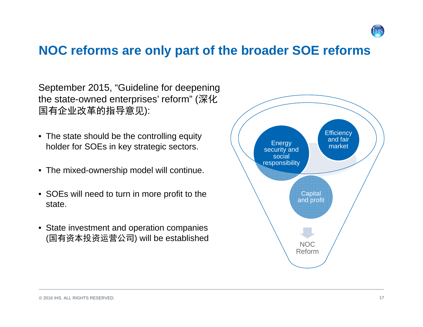

#### **NOC reforms are only part of the broader SOE reforms**

September 2015, "Guideline for deepening the state-owned enterprises' reform" (深化 国有企业改革的指导意见):

- The state should be the controlling equity holder for SOEs in key strategic sectors.
- The mixed-ownership model will continue.
- SOEs will need to turn in more profit to the state.
- State investment and operation companies (国有资本投资运营公司) will be established NOC

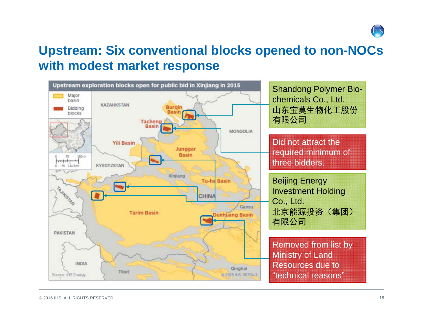

#### **Upstream: Six conventional blocks opened to non-NOCs with modest market response**

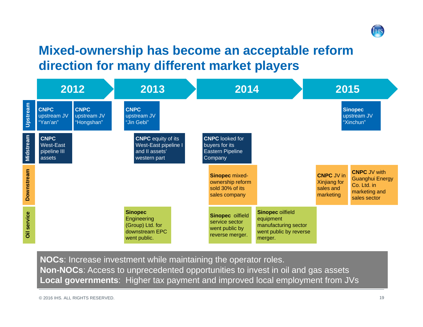

#### **Mixed-ownership has become an acceptable reform direction for many different market players**

|                    | 2012                                               |                                                                                      | 2013                                                                                |                                                                                | 2014                                                                                              |                                                             | 2015                                                                                          |  |
|--------------------|----------------------------------------------------|--------------------------------------------------------------------------------------|-------------------------------------------------------------------------------------|--------------------------------------------------------------------------------|---------------------------------------------------------------------------------------------------|-------------------------------------------------------------|-----------------------------------------------------------------------------------------------|--|
| Upstream           | <b>CNPC</b><br>upstream JV<br>"Yan'an"             | <b>CNPC</b><br><b>CNPC</b><br>upstream JV<br>upstream JV<br>"Hongshan"<br>"Jin Gebi" |                                                                                     |                                                                                | <b>Sinopec</b><br>upstream JV<br>"Xinchun"                                                        |                                                             |                                                                                               |  |
| Midstream          | <b>CNPC</b><br>West-East<br>pipeline III<br>assets |                                                                                      | <b>CNPC</b> equity of its<br>West-East pipeline I<br>and II assets'<br>western part | <b>CNPC</b> looked for<br>buyers for its<br><b>Eastern Pipeline</b><br>Company |                                                                                                   |                                                             |                                                                                               |  |
| <b>Downstream</b>  |                                                    |                                                                                      |                                                                                     | Sinopec mixed-<br>ownership reform<br>sold 30% of its<br>sales company         |                                                                                                   | <b>CNPC JV in</b><br>Xinjiang for<br>sales and<br>marketing | <b>CNPC JV with</b><br><b>Guanghui Energy</b><br>Co. Ltd. in<br>marketing and<br>sales sector |  |
| <b>Oil service</b> |                                                    |                                                                                      | <b>Sinopec</b><br>Engineering<br>(Group) Ltd. for<br>downstream EPC<br>went public. | Sinopec oilfield<br>service sector<br>went public by<br>reverse merger.        | <b>Sinopec oilfield</b><br>equipment<br>manufacturing sector<br>went public by reverse<br>merger. |                                                             |                                                                                               |  |

**NOCs**: Increase investment while maintaining the operator roles. **Non-NOCs**: Access to unprecedented opportunities to invest in oil and gas assets **Local governments**: Higher tax payment and improved local employment from JVs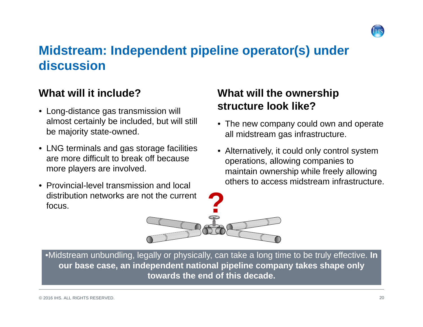

#### **Midstream: Independent pipeline operator(s) under discussion**

#### **What will it include?**

- Long-distance gas transmission will almost certainly be included, but will still be majority state-owned.
- LNG terminals and gas storage facilities are more difficult to break off because more players are involved.
- Provincial-level transmission and local distribution networks are not the current focus.

#### **What will the ownership structure look like?**

- The new company could own and operate all midstream gas infrastructure.
- Alternatively, it could only control system operations, allowing companies to maintain ownership while freely allowing others to access midstream infrastructure.

**?**

•Midstream unbundling, legally or physically, can take a long time to be truly effective. **In our base case, an independent national pipeline company takes shape only towards the end of this decade.**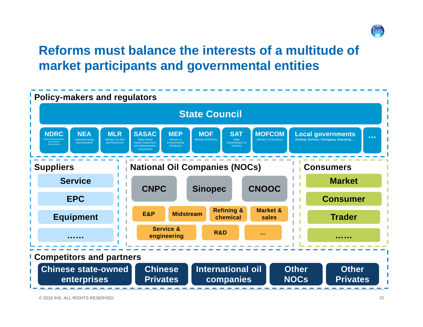

### **Reforms must balance the interests of a multitude of market participants and governmental entities**

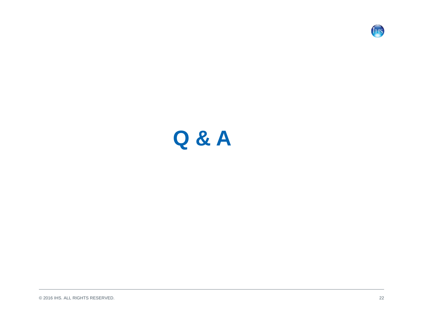

## **Q & A**